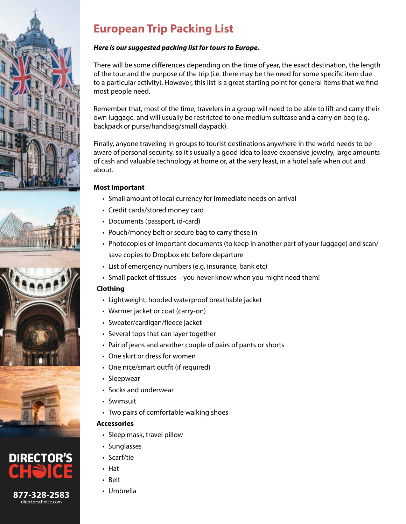







# **European Trip Packing List**

## *Here is our suggested packing list for tours to Europe.*

There will be some differences depending on the time of year, the exact destination, the length of the tour and the purpose of the trip (i.e. there may be the need for some specific item due to a particular activity). However, this list is a great starting point for general items that we find most people need.

Remember that, most of the time, travelers in a group will need to be able to lift and carry their own luggage, and will usually be restricted to one medium suitcase and a carry on bag (e.g. backpack or purse/handbag/small daypack).

Finally, anyone traveling in groups to tourist destinations anywhere in the world needs to be aware of personal security, so it's usually a good idea to leave expensive jewelry, large amounts of cash and valuable technology at home or, at the very least, in a hotel safe when out and about.

#### **Most Important**

- Small amount of local currency for immediate needs on arrival
- Credit cards/stored money card
- Documents (passport, id-card)
- Pouch/money belt or secure bag to carry these in
- Photocopies of important documents (to keep in another part of your luggage) and scan/ save copies to Dropbox etc before departure
- List of emergency numbers (e.g. insurance, bank etc)
- Small packet of tissues you never know when you might need them!

#### **Clothing**

- Lightweight, hooded waterproof breathable jacket
- Warmer jacket or coat (carry-on)
- Sweater/cardigan/fleece jacket
- Several tops that can layer together
- Pair of jeans and another couple of pairs of pants or shorts
- One skirt or dress for women
- One nice/smart outfit (if required)
- Sleepwear
- Socks and underwear
- Swimsuit
- Two pairs of comfortable walking shoes

#### **Accessories**

- Sleep mask, travel pillow
- Sunglasses
- Scarf/tie
- Hat
- Belt
-